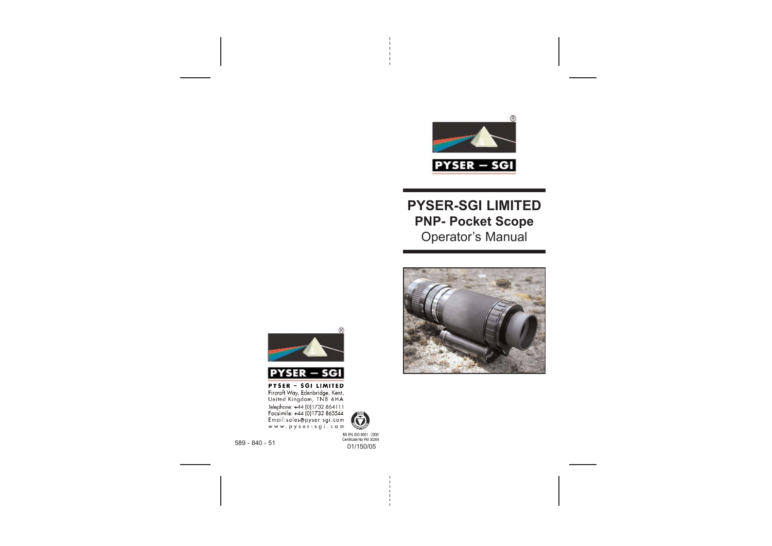

# **PYSER-SGI LIMITED PNP- Pocket Scope** Operator's Manual







**PYSER - SGI LIMITED**<br>Fircroft Way, Edenbridge, Kent,<br>United Kingdom, TN8 6HA Telephone: +44 (0)1732 86411<br>Tecsimile: +44 (01732 865544<br>Encail:sales@pyser-sgi.com<br>www.pyser-sgi.com

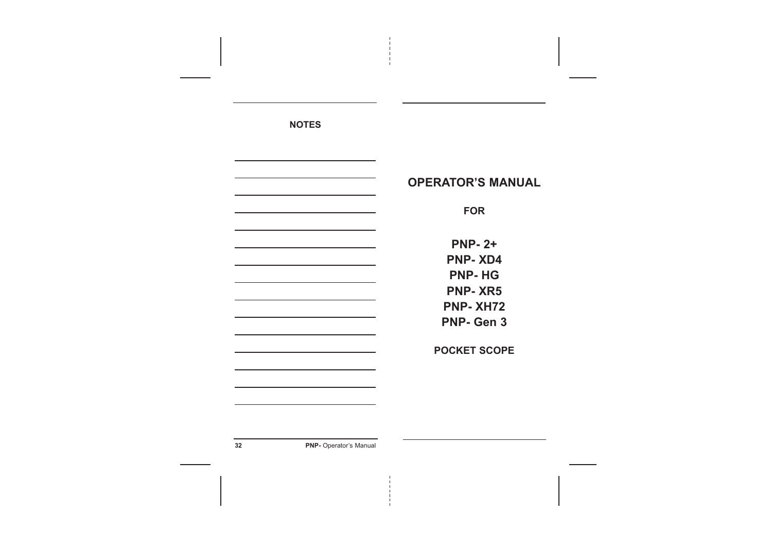**NOTES**

|                                                                                                                                                          | <b>OPERATOR'S MANUAL</b>                                                              |
|----------------------------------------------------------------------------------------------------------------------------------------------------------|---------------------------------------------------------------------------------------|
|                                                                                                                                                          | <b>FOR</b>                                                                            |
| the control of the control of the control of the control of<br>the control of the control of the control of the control of the control of the control of | <b>PNP-2+</b><br><b>PNP-XD4</b><br><b>PNP-HG</b><br><b>PNP-XR5</b><br><b>PNP-XH72</b> |
| the control of the control of the control of the control of the control of                                                                               | <b>PNP-Gen 3</b><br><b>POCKET SCOPE</b>                                               |
|                                                                                                                                                          |                                                                                       |
|                                                                                                                                                          |                                                                                       |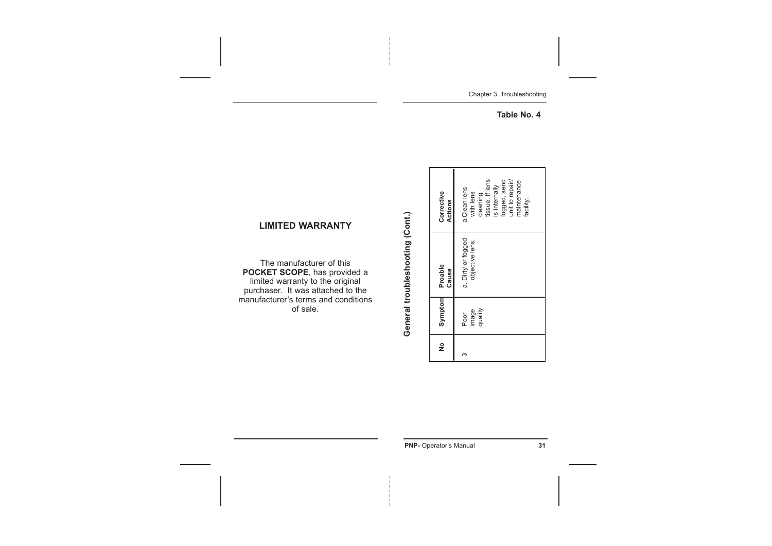Chapter 3. Troubleshooting

 $-$ 

**Table No. 4**

|   |                          | General troubleshooting (Cont.)       |                                                                                                                                          |
|---|--------------------------|---------------------------------------|------------------------------------------------------------------------------------------------------------------------------------------|
| ş | Symptom                  | Proable<br>Cause                      | Corrective<br>Actions                                                                                                                    |
| ო | quality<br>image<br>Poor | a. Dirty or fogged<br>objective lens. | tissue. If lens<br>unit to repair/<br>fogged, send<br>maintenance<br>is internally<br>a.Clean lens<br>with lens<br>cleaning<br>facility. |

## **LIMITED WARRANTY**

The manufacturer of this **POCKET SCOPE**, has provided a limited warranty to the original purchaser. It was attached to the manufacturer's terms and conditions of sale.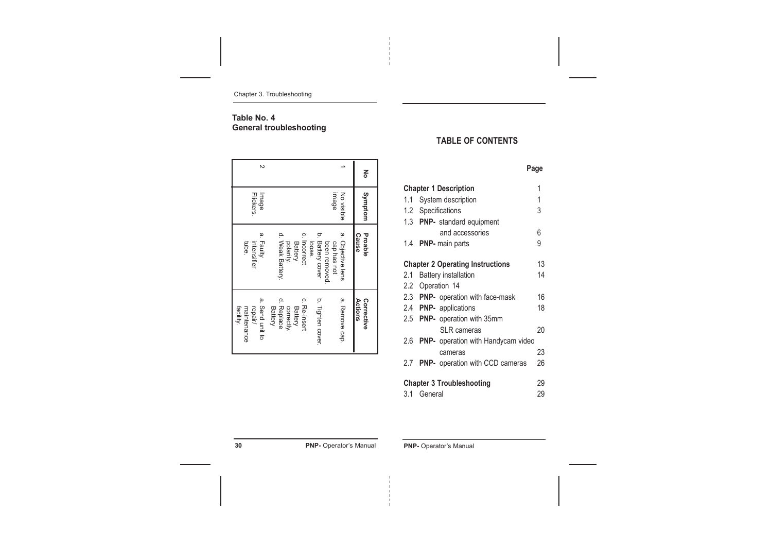Chapter 3. Troubleshooting

## **Table No. 4 General troubleshooting**

# **TABLE OF CONTENTS**

|     |                                           | Page |
|-----|-------------------------------------------|------|
|     | <b>Chapter 1 Description</b>              | 1    |
| 1.1 | System description                        | 1    |
|     | 1.2 Specifications                        | 3    |
|     | 1.3 PNP- standard equipment               |      |
|     | and accessories                           | 6    |
| 1.4 | <b>PNP-</b> main parts                    | 9    |
|     |                                           |      |
|     | <b>Chapter 2 Operating Instructions</b>   | 13   |
| 2.1 | <b>Battery installation</b>               | 14   |
|     | 2.2 Operation 14                          |      |
|     | 2.3 PNP- operation with face-mask         | 16   |
|     | 2.4 PNP- applications                     | 18   |
|     | 2.5 PNP- operation with 35mm              |      |
|     | SI R cameras                              | 20   |
| 2.6 | <b>PNP-</b> operation with Handycam video |      |
|     | cameras                                   | 23   |
| 2.7 | PNP- operation with CCD cameras           | 26   |
|     | <b>Chapter 3 Troubleshooting</b>          | 29   |
| 3.1 | General                                   | 29   |

**30 PNP-** Operator's Manual **PNP-** Operator's Manual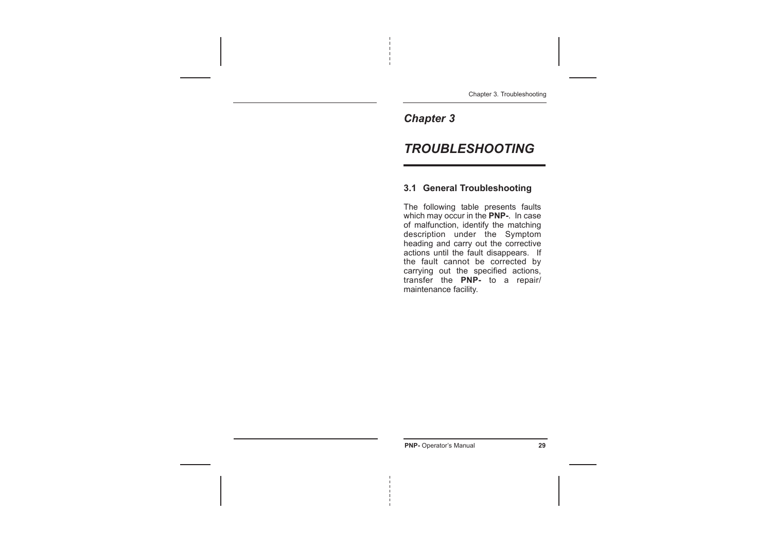Chapter 3. Troubleshooting

# *Chapter 3*

# *TROUBLESHOOTING*

## **3.1 General Troubleshooting**

The following table presents faults which may occur in the **PNP-**. In case of malfunction, identify the matching description under the Symptom heading and carry out the corrective actions until the fault disappears. If the fault cannot be corrected by carrying out the specified actions, transfer the **PNP-** to a repair/ maintenance facility.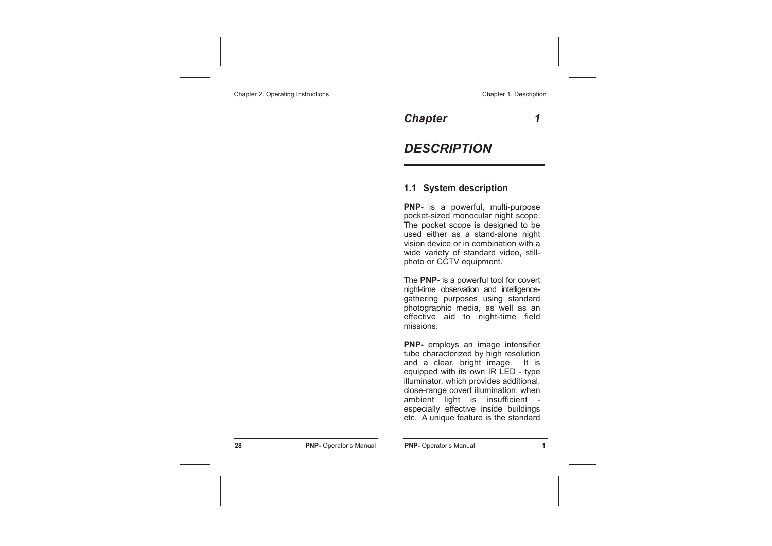Chapter 2. Operating Instructions

*Chapter 1*

# *DESCRIPTION*

## **1.1 System description**

**PNP-** is a powerful, multi-purpose pocket-sized monocular night scope. The pocket scope is designed to be used either as a stand-alone night vision device or in combination with a wide variety of standard video, stillphoto or CCTV equipment.

The **PNP-** is a powerful tool for covert night-time observation and intelligencegathering purposes using standard photographic media, as well as an effective aid to night-time field missions.

**PNP-** employs an image intensifier tube characterized by high resolution and a clear, bright image. It is equipped with its own IR LED - type illuminator, which provides additional, close-range covert illumination, when ambient light is insufficient especially effective inside buildings etc. A unique feature is the standard

**28 PNP-** Operator's Manual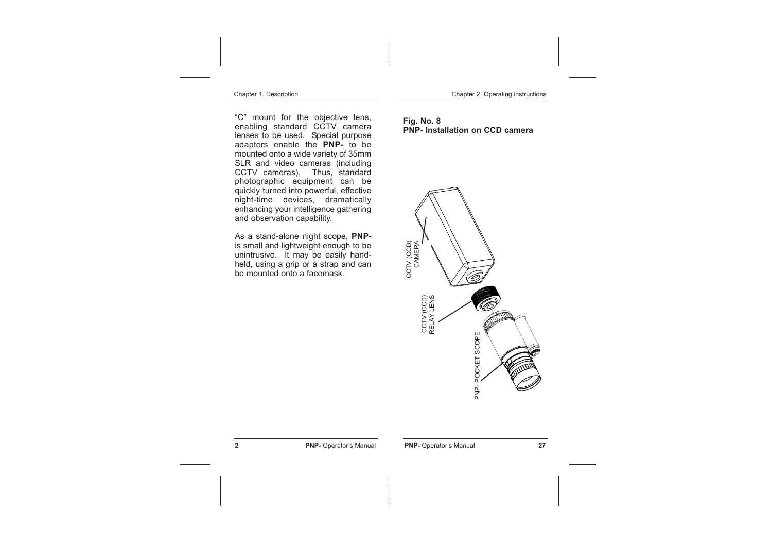Chapter 1. Description

"C" mount for the objective lens, enabling standard CCTV camera lenses to be used. Special purpose adaptors enable the **PNP-** to be mounted onto a wide variety of 35mm SLR and video cameras (including CCTV cameras). Thus, standard photographic equipment can be quickly turned into powerful, effective night-time devices, dramatically enhancing your intelligence gathering and observation capability.

As a stand-alone night scope, **PNP**is small and lightweight enough to be unintrusive. It may be easily handheld, using a grip or a strap and can be mounted onto a facemask.

Chapter 2. Operating instructions

#### **Fig. No. 8 PNP- Installation on CCD camera**

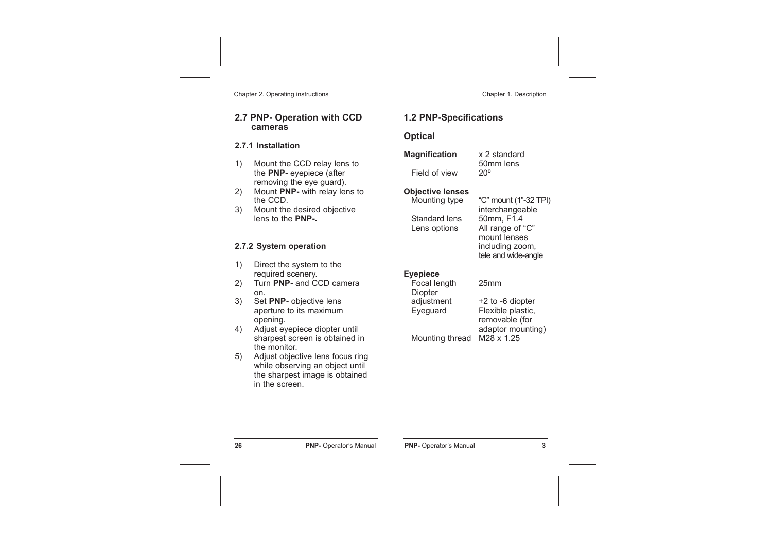Chapter 2. Operating instructions

## **2.7 PNP- Operation with CCD cameras**

#### **2.7.1 Installation**

- 1) Mount the CCD relay lens to the **PNP-** eyepiece (after removing the eye guard).
- 2) Mount **PNP-** with relay lens to the CCD.
- 3) Mount the desired objective lens to the **PNP-.**

## **2.7.2 System operation**

- 1) Direct the system to the required scenery.
- 2) Turn **PNP-** and CCD camera on.
- 3) Set **PNP-** objective lens aperture to its maximum opening.
- 4) Adjust eyepiece diopter until sharpest screen is obtained in the monitor.
- 5) Adjust objective lens focus ring while observing an object until the sharpest image is obtained in the screen.

#### Chapter 1. Description

## **1.2 PNP-Specifications**

## **Optical**

| Magnification | x 2 standard |
|---------------|--------------|
|               | 50mm lens    |
| Field of view | $20^{\circ}$ |

## **Objective lenses**

| Mounting type | "C" mount (1"-32 TPI) |
|---------------|-----------------------|
|               | interchangeable       |
| Standard lens | 50mm, F1.4            |
| Lens options  | All range of "C"      |
|               | mount lenses          |
|               | including zoom,       |
|               | tele and wide-angle   |

## **Eyepiece**

| Focal length    | 25 <sub>mm</sub>     |
|-----------------|----------------------|
| <b>Diopter</b>  |                      |
| adjustment      | $+2$ to $-6$ diopter |
| Eyeguard        | Flexible plastic,    |
|                 | removable (for       |
|                 | adaptor mounting)    |
| Mounting thread | M28 x 1.25           |
|                 |                      |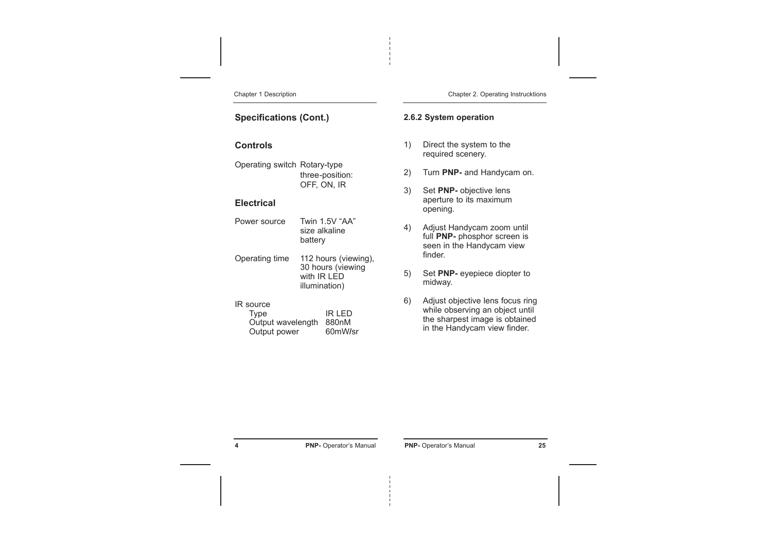Chapter 1 Description

#### Chapter 2. Operating Instrucktions

## **Specifications (Cont.)**

## **Controls**

Operating switch Rotary-type three-position: OFF, ON, IR

## **Electrical**

- Power source Twin 1.5V "AA" size alkaline battery
- Operating time 112 hours (viewing), 30 hours (viewing with IR LED illumination)

#### IR source

Type IR LED Output wavelength 880nM Output power 60mW**/**sr **2.6.2 System operation**

- 1) Direct the system to the required scenery.
- 2) Turn **PNP-** and Handycam on.
- 3) Set **PNP-** objective lens aperture to its maximum opening.
- 4) Adjust Handycam zoom until full **PNP-** phosphor screen is seen in the Handycam view finder.
- 5) Set **PNP-** eyepiece diopter to midway.
- 6) Adjust objective lens focus ring while observing an object until the sharpest image is obtained in the Handycam view finder.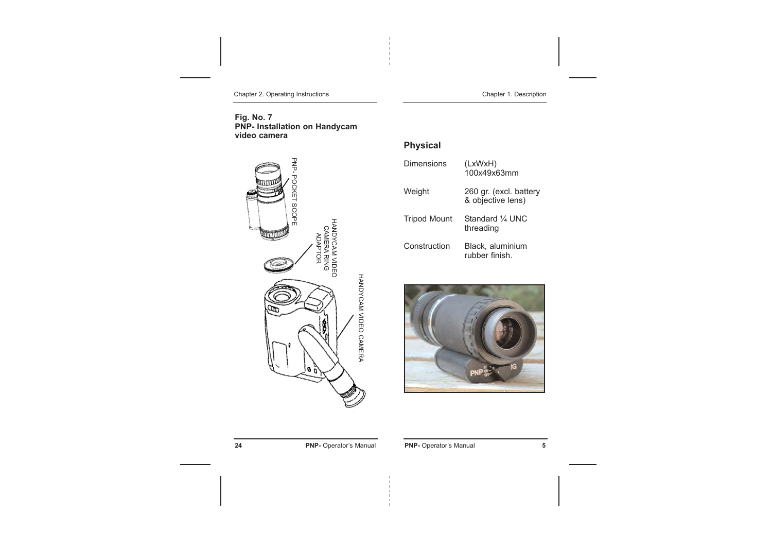Chapter 2. Operating Instructions

Chapter 1. Description

#### **Fig. No. 7 PNP- Installation on Handycam video camera**



# **Physical**

| Dimensions          | (LxWxH)<br>100x49x63mm                      |
|---------------------|---------------------------------------------|
| Weight              | 260 gr. (excl. battery<br>& objective lens) |
| <b>Tripod Mount</b> | Standard 1/4 UNC<br>threading               |
| Construction        | Black, aluminium<br>rubber finish.          |



**24 PNP-** Operator's Manual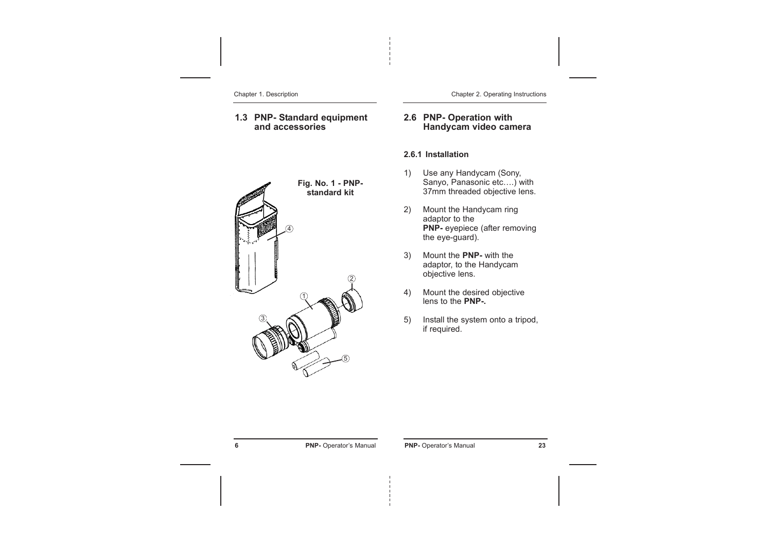Chapter 1. Description

## **1.3 PNP- Standard equipment and accessories**



Chapter 2. Operating Instructions

### **2.6 PNP- Operation with Handycam video camera**

#### **2.6.1 Installation**

- 1) Use any Handycam (Sony, Sanyo, Panasonic etc….) with 37mm threaded objective lens.
- 2) Mount the Handycam ring adaptor to the **PNP-** eyepiece (after removing the eye-guard).
- 3) Mount the **PNP-** with the adaptor, to the Handycam objective lens.
- 4) Mount the desired objective lens to the **PNP-.**
- 5) Install the system onto a tripod, if required.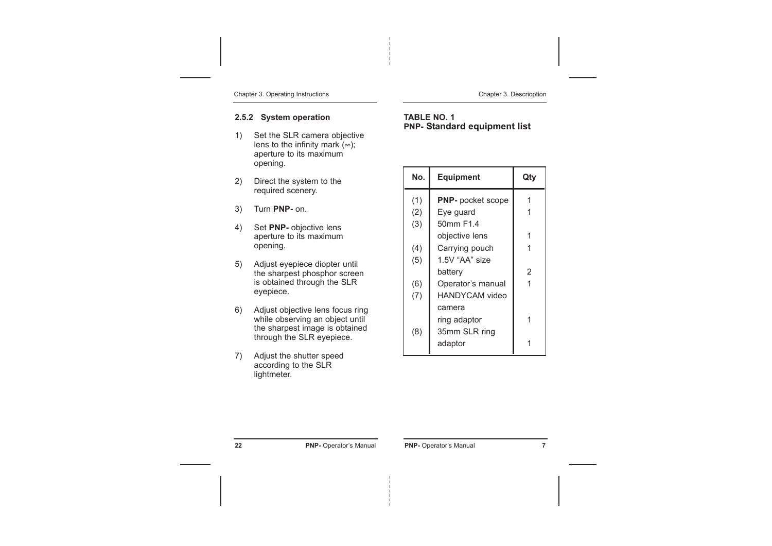Chapter 3. Operating Instructions

#### Chapter 3. Descrioption

## **2.5.2 System operation**

- 1) Set the SLR camera objective lens to the infinity mark  $(\infty)$ ; aperture to its maximum opening.
- 2) Direct the system to the required scenery.
- 3) Turn **PNP-** on.
- 4) Set **PNP-** objective lens aperture to its maximum opening.
- 5) Adjust eyepiece diopter until the sharpest phosphor screen is obtained through the SLR eyepiece.
- 6) Adjust objective lens focus ring while observing an object until the sharpest image is obtained through the SLR eyepiece.
- 7) Adjust the shutter speed according to the SLR lightmeter.

### **TABLE NO. 1 PNP- Standard equipment list**

| No. | Equipment                | Qty |
|-----|--------------------------|-----|
| (1) | <b>PNP-</b> pocket scope |     |
| (2) | Eye guard                |     |
| (3) | 50mm F1.4                |     |
|     | objective lens           |     |
| (4) | Carrying pouch           |     |
| (5) | 1.5V "AA" size           |     |
|     | battery                  | 2   |
| (6) | Operator's manual        |     |
| (7) | HANDYCAM video           |     |
|     | camera                   |     |
|     | ring adaptor             |     |
| (8) | 35mm SLR ring            |     |
|     | adaptor                  |     |
|     |                          |     |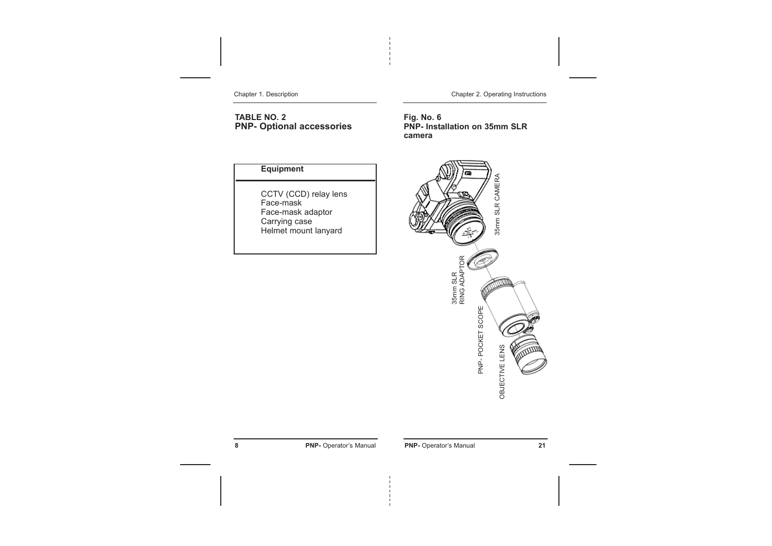Chapter 1. Description

**TABLE NO. 2 PNP- Optional accessories** Chapter 2. Operating Instructions

**Fig. No. 6 PNP- Installation on 35mm SLR camera**

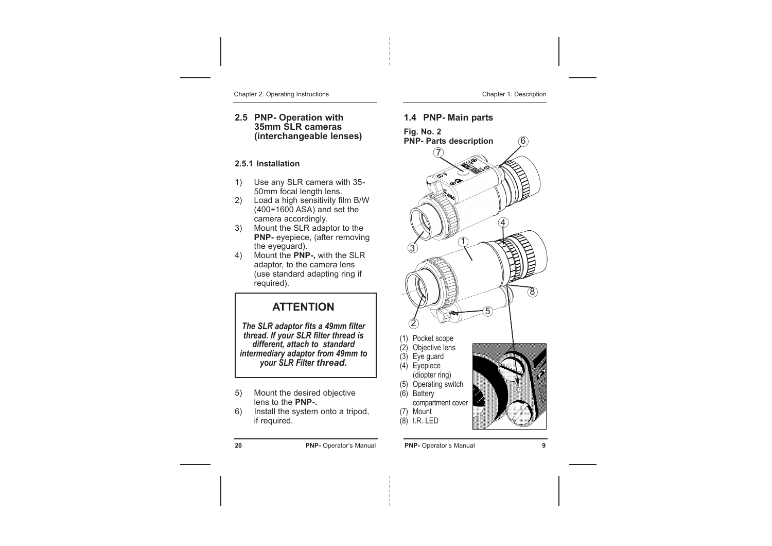Chapter 2. Operating Instructions

#### **2.5 PNP- Operation with 35mm SLR cameras (interchangeable lenses)**

### **2.5.1 Installation**

- 1) Use any SLR camera with 35- 50mm focal length lens.
- 2) Load a high sensitivity film B/W (400+1600 ASA) and set the camera accordingly.
- 3) Mount the SLR adaptor to the **PNP-** eyepiece, (after removing the eyeguard).
- 4) Mount the **PNP-,** with the SLR adaptor, to the camera lens (use standard adapting ring if required).

# **ATTENTION**

*The SLR adaptor fits a 49mm filter thread. If your SLR filter thread is different, attach to standard intermediary adaptor from 49mm to your SLR Filter thread.*

- 5) Mount the desired objective lens to the **PNP-.**
- 6) Install the system onto a tripod, if required.

#### **20 PNP-** Operator's Manual

#### Chapter 1. Description

 $\circled6$ 

## **1.4 PNP- Main parts**

**Fig. No. 2 PNP- Parts description**





**PNP-** Operator's Manual **9**

(6) Battery

(7) Mount (8) I.R. LED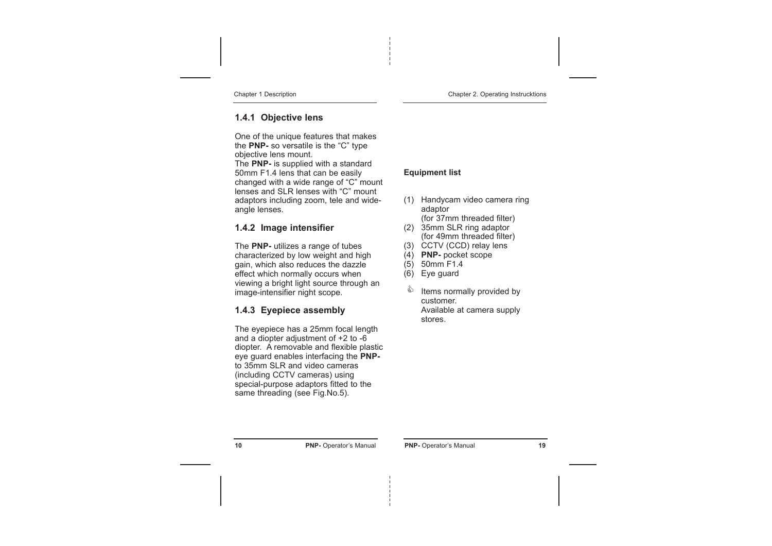Chapter 1 Description

## **1.4.1 Objective lens**

One of the unique features that makes the **PNP-** so versatile is the "C" type objective lens mount. The **PNP-** is supplied with a standard 50mm F1.4 lens that can be easily changed with a wide range of "C" mount lenses and SLR lenses with "C" mount adaptors including zoom, tele and wideangle lenses.

## **1.4.2 Image intensifier**

The **PNP-** utilizes a range of tubes characterized by low weight and high gain, which also reduces the dazzle effect which normally occurs when viewing a bright light source through an image-intensifier night scope.

## **1.4.3 Eyepiece assembly**

The eyepiece has a 25mm focal length and a diopter adjustment of  $+2$  to  $-6$ diopter. A removable and flexible plastic eye guard enables interfacing the **PNP**to 35mm SLR and video cameras (including CCTV cameras) using special-purpose adaptors fitted to the same threading (see Fig.No.5).

### **Equipment list**

- (1) Handycam video camera ring adaptor (for 37mm threaded filter)
- (2) 35mm SLR ring adaptor
- (for 49mm threaded filter) (3) CCTV (CCD) relay lens
- (4) **PNP-** pocket scope
- (5) 50mm F1.4
- 
- (6) Eye guard
- Items normally provided by customer. Available at camera supply stores. &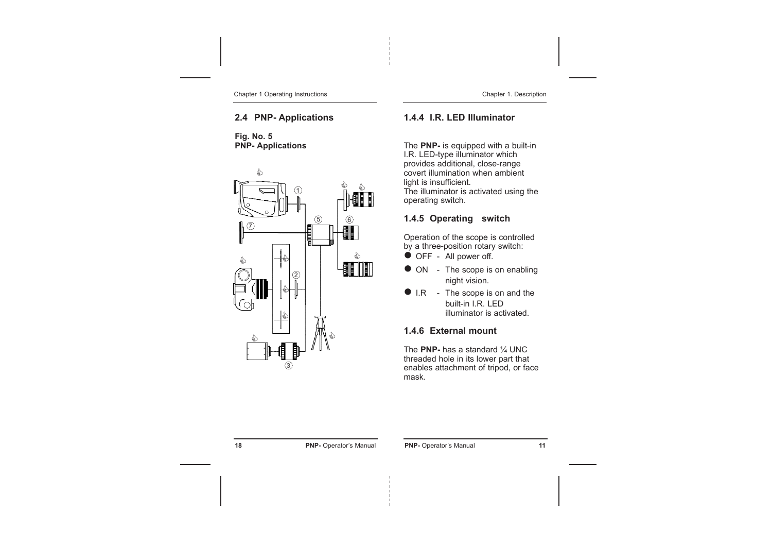Chapter 1 Operating Instructions

## **2.4 PNP- Applications**

**Fig. No. 5 PNP- Applications**



#### Chapter 1. Description

## **1.4.4 I.R. LED Illuminator**

The **PNP-** is equipped with a built-in I.R. LED-type illuminator which provides additional, close-range covert illumination when ambient light is insufficient. The illuminator is activated using the operating switch.

## **1.4.5 Operating switch**

Operation of the scope is controlled by a three-position rotary switch:

- **OFF** All power off.
- ON The scope is on enabling night vision.
- $\bullet$  I.R The scope is on and the built-in I.R. LED illuminator is activated.

## **1.4.6 External mount**

The **PNP-** has a standard ¼ UNC threaded hole in its lower part that enables attachment of tripod, or face mask.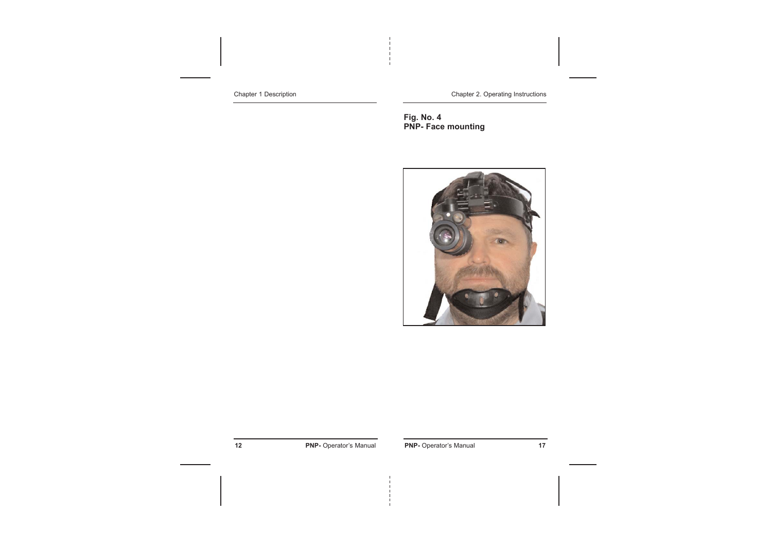Chapter 1 Description

Chapter 2. Operating Instructions

**Fig. No. 4 PNP- Face mounting**



**12 PNP-** Operator's Manual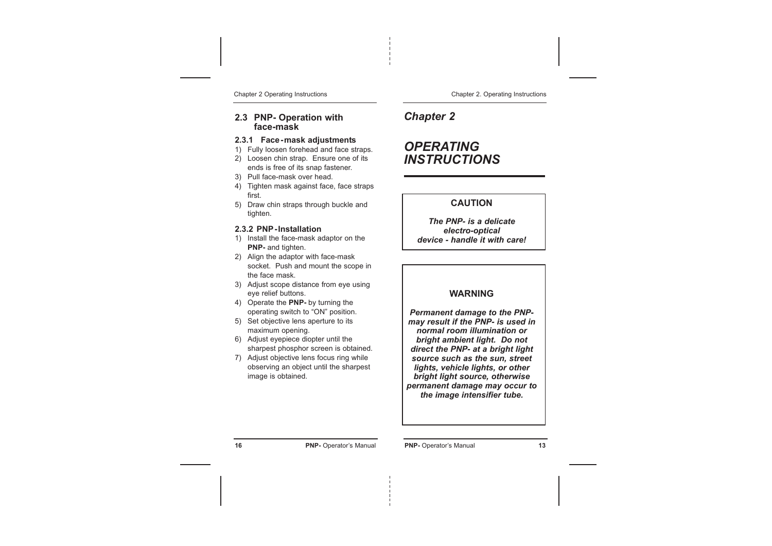Chapter 2 Operating Instructions

#### **2.3 PNP- Operation with face-mask**

#### **2.3.1 Face-mask adjustments**

- 1) Fully loosen forehead and face straps.
- 2) Loosen chin strap. Ensure one of its ends is free of its snap fastener.
- 3) Pull face-mask over head.
- 4) Tighten mask against face, face straps first.
- 5) Draw chin straps through buckle and tighten.

#### **2.3.2 PNP-Installation**

- 1) Install the face-mask adaptor on the **PNP-** and tighten.
- 2) Align the adaptor with face-mask socket. Push and mount the scope in the face mask.
- 3) Adjust scope distance from eye using eye relief buttons.
- 4) Operate the **PNP-** by turning the operating switch to "ON" position.
- 5) Set objective lens aperture to its maximum opening.
- 6) Adjust eyepiece diopter until the sharpest phosphor screen is obtained.
- 7) Adjust objective lens focus ring while observing an object until the sharpest image is obtained.

#### Chapter 2. Operating Instructions

*Chapter 2*

# *OPERATING INSTRUCTIONS*

### **CAUTION**

*The PNP- is a delicate electro-optical device - handle it with care!*

#### **WARNING**

*Permanent damage to the PNPmay result if the PNP- is used in normal room illumination or bright ambient light. Do not direct the PNP- at a bright light source such as the sun, street lights, vehicle lights, or other bright light source, otherwise permanent damage may occur to the image intensifier tube.*